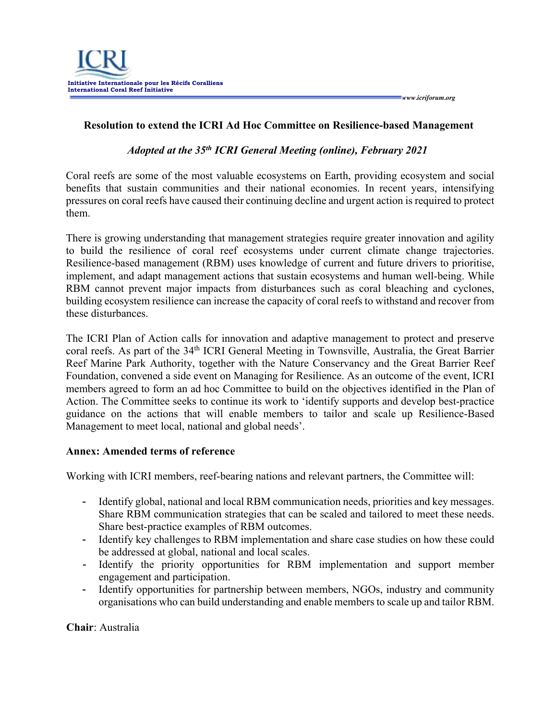*www.icriforum.org* 

## **Resolution to extend the ICRI Ad Hoc Committee on Resilience-based Management**

## *Adopted at the 35th ICRI General Meeting (online), February 2021*

Coral reefs are some of the most valuable ecosystems on Earth, providing ecosystem and social benefits that sustain communities and their national economies. In recent years, intensifying pressures on coral reefs have caused their continuing decline and urgent action is required to protect them.

There is growing understanding that management strategies require greater innovation and agility to build the resilience of coral reef ecosystems under current climate change trajectories. Resilience-based management (RBM) uses knowledge of current and future drivers to prioritise, implement, and adapt management actions that sustain ecosystems and human well-being. While RBM cannot prevent major impacts from disturbances such as coral bleaching and cyclones, building ecosystem resilience can increase the capacity of coral reefs to withstand and recover from these disturbances.

The ICRI Plan of Action calls for innovation and adaptive management to protect and preserve coral reefs. As part of the 34<sup>th</sup> ICRI General Meeting in Townsville, Australia, the Great Barrier Reef Marine Park Authority, together with the Nature Conservancy and the Great Barrier Reef Foundation, convened a side event on Managing for Resilience. As an outcome of the event, ICRI members agreed to form an ad hoc Committee to build on the objectives identified in the Plan of Action. The Committee seeks to continue its work to 'identify supports and develop best-practice guidance on the actions that will enable members to tailor and scale up Resilience-Based Management to meet local, national and global needs'.

## **Annex: Amended terms of reference**

Working with ICRI members, reef-bearing nations and relevant partners, the Committee will:

- Identify global, national and local RBM communication needs, priorities and key messages. Share RBM communication strategies that can be scaled and tailored to meet these needs. Share best-practice examples of RBM outcomes.
- Identify key challenges to RBM implementation and share case studies on how these could be addressed at global, national and local scales.
- Identify the priority opportunities for RBM implementation and support member engagement and participation.
- Identify opportunities for partnership between members, NGOs, industry and community organisations who can build understanding and enable members to scale up and tailor RBM.

**Chair**: Australia